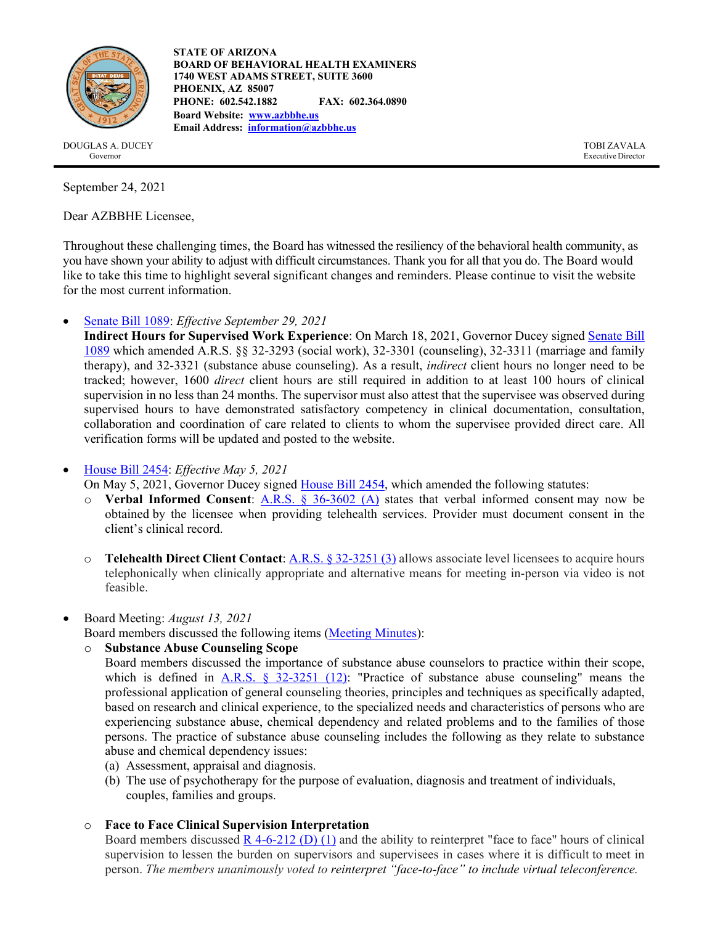

**STATE OF ARIZONA BOARD OF BEHAVIORAL HEALTH EXAMINERS 1740 WEST ADAMS STREET, SUITE 3600 PHOENIX, AZ 85007 PHONE: 602.542.1882 FAX: 602.364.0890 Board Website: [www.azbbhe.us](http://www.azbbhe.us/) Email Address: [information@azbbhe.us](mailto:information@azbbhe.us)**

DOUGLAS A. DUCEY TOBI ZAVALA Governor Executive Director

September 24, 2021

Dear AZBBHE Licensee,

Throughout these challenging times, the Board has witnessed the resiliency of the behavioral health community, as you have shown your ability to adjust with difficult circumstances. Thank you for all that you do. The Board would like to take this time to highlight several significant changes and reminders. Please continue to visit the website for the most current information.

• [Senate Bill 1089:](https://www.azleg.gov/legtext/55leg/1R/laws/0062.pdf) *Effective September 29, 2021*

**Indirect Hours for Supervised Work Experience**: On March 18, 2021, Governor Ducey signe[d Senate Bill](https://www.azleg.gov/legtext/55leg/1R/laws/0062.pdf)  [1089](https://www.azleg.gov/legtext/55leg/1R/laws/0062.pdf) which amended A.R.S. §§ 32-3293 (social work), 32-3301 (counseling), 32-3311 (marriage and family therapy), and 32-3321 (substance abuse counseling). As a result, *indirect* client hours no longer need to be tracked; however, 1600 *direct* client hours are still required in addition to at least 100 hours of clinical supervision in no less than 24 months. The supervisor must also attest that the supervisee was observed during supervised hours to have demonstrated satisfactory competency in clinical documentation, consultation, collaboration and coordination of care related to clients to whom the supervisee provided direct care. All verification forms will be updated and posted to the website.

• [House Bill 2454:](https://www.azleg.gov/legtext/55leg/1R/laws/0320.pdf) *Effective May 5, 2021*

On May 5, 2021, Governor Ducey signed [House Bill 2454,](https://www.azleg.gov/legtext/55leg/1R/laws/0320.pdf) which amended the following statutes:

- o **Verbal Informed Consent**: [A.R.S. § 36-3602](https://www.azleg.gov/ars/36/03602.htm) (A) states that verbal informed consent may now be obtained by the licensee when providing telehealth services. Provider must document consent in the client's clinical record.
- o **Telehealth Direct Client Contact**: [A.R.S. § 32-3251](https://www.azleg.gov/ars/32/03251.htm) (3) allows associate level licensees to acquire hours telephonically when clinically appropriate and alternative means for meeting in-person via video is not feasible.
- Board Meeting: *August 13, 2021*
	- Board members discussed the following items [\(Meeting Minutes\)](https://www.azbbhe.us/sites/default/files/agendas/August%2013%2C%202021%20Minutes_0.pdf):
	- o **Substance Abuse Counseling Scope**

Board members discussed the importance of substance abuse counselors to practice within their scope, which is defined in A.R.S.  $\S$  32-3251 (12): "Practice of substance abuse counseling" means the professional application of general counseling theories, principles and techniques as specifically adapted, based on research and clinical experience, to the specialized needs and characteristics of persons who are experiencing substance abuse, chemical dependency and related problems and to the families of those persons. The practice of substance abuse counseling includes the following as they relate to substance abuse and chemical dependency issues:

- (a) Assessment, appraisal and diagnosis.
- (b) The use of psychotherapy for the purpose of evaluation, diagnosis and treatment of individuals, couples, families and groups.
- o **Face to Face Clinical Supervision Interpretation**

Board members discussed  $\underline{R}$  4-6-212 (D) (1) and the ability to reinterpret "face to face" hours of clinical supervision to lessen the burden on supervisors and supervisees in cases where it is difficult to meet in person. *The members unanimously voted to reinterpret "face-to-face" to include virtual teleconference.*